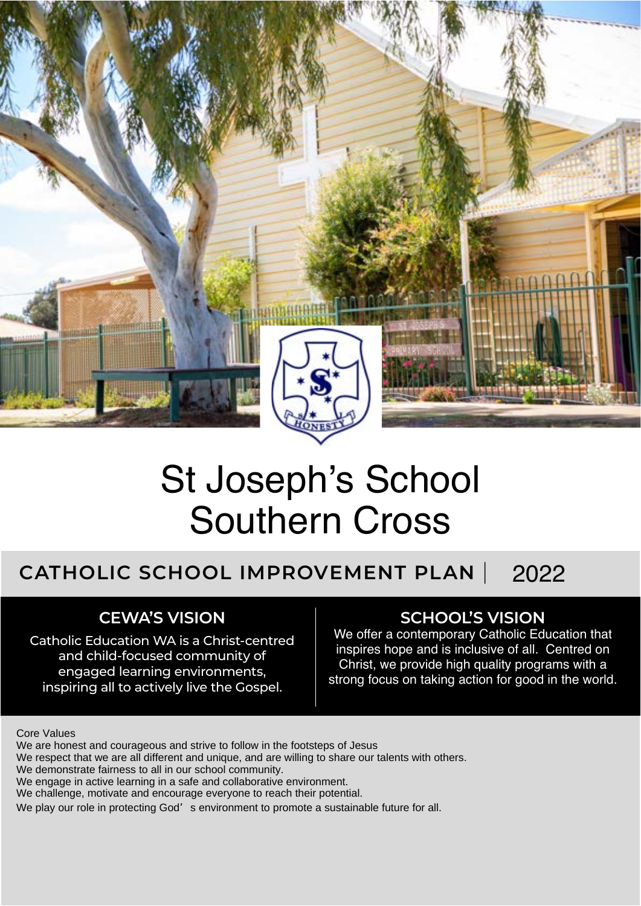

# St Joseph's School<br>Southern Cross<br>CHOOL IMPROVEMENT PLAN | 2022

# **CATHOLIC SCHOOL IMPROVEMENT PLAN** |

# **CEWA'S VISION**

Catholic Education WA is a Christ-centred and child-focused community of engaged learning environments, inspiring all to actively live the Gospel.

### **SCHOOL'S VISION**

We offer a contemporary Catholic Education that inspires hope and is inclusive of all. Centred on Christ, we provide high quality programs with a strong focus on taking action for good in the world.

#### Core Values

We are honest and courageous and strive to follow in the footsteps of Jesus

We respect that we are all different and unique, and are willing to share our talents with others.

We demonstrate fairness to all in our school community.

We engage in active learning in a safe and collaborative environment.

We challenge, motivate and encourage everyone to reach their potential.

We play our role in protecting God's environment to promote a sustainable future for all.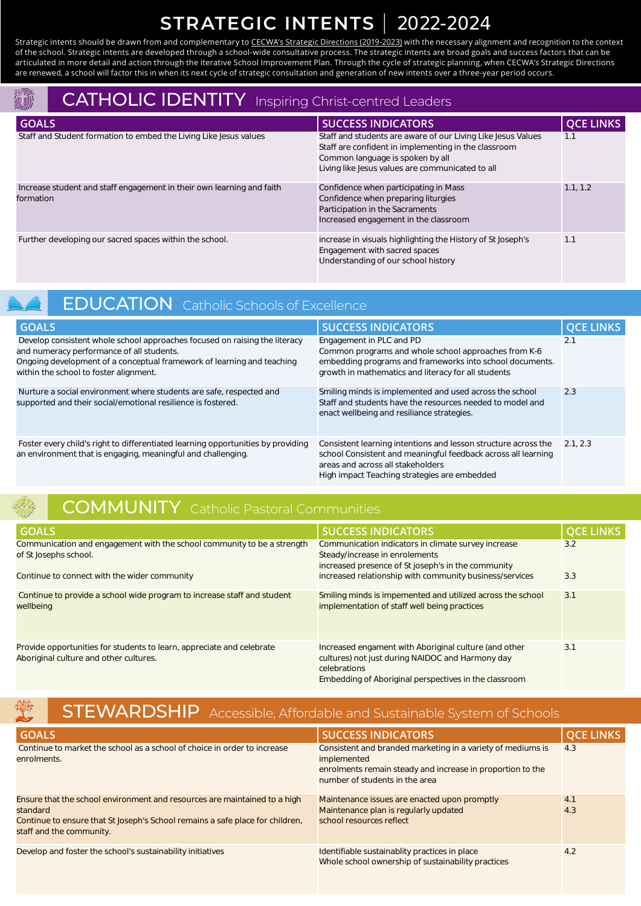# **STRATEGIC INTENTS** | 2022-2024

Strategic intents should be drawn from and complementary to [CECWA's Strategic Directions \(2019-2023\)](https://www.cewa.edu.au/publication/strategic-directions-2019-2023/) with the necessary alignment and recognition to the context of the school. Strategic intents are developed through a school-wide consultative process. The strategic intents are broad goals and success factors that can be articulated in more detail and action through the iterative School Improvement Plan. Through the cycle of strategic planning, when CECWA's Strategic Directions are renewed, a school will factor this in when its next cycle of strategic consultation and generation of new intents over a three-year period occurs.

## CATHOLIC IDENTITY Inspiring Christ-centred Leaders

| <b>GOALS</b>                                                                       | <b>SUCCESS INDICATORS</b>                                                                                                                                                                                    | <b>QCE LINKS</b> |
|------------------------------------------------------------------------------------|--------------------------------------------------------------------------------------------------------------------------------------------------------------------------------------------------------------|------------------|
| Staff and Student formation to embed the Living Like Jesus values                  | Staff and students are aware of our Living Like Jesus Values<br>Staff are confident in implementing in the classroom<br>Common language is spoken by all<br>Living like Jesus values are communicated to all | 1.1              |
| Increase student and staff engagement in their own learning and faith<br>formation | Confidence when participating in Mass<br>Confidence when preparing liturgies<br>Participation in the Sacraments<br>Increased engagement in the classroom                                                     | 1.1, 1.2         |
| Further developing our sacred spaces within the school.                            | increase in visuals highlighting the History of St Joseph's<br>Engagement with sacred spaces<br>Understanding of our school history                                                                          | 1.1              |
| <b>EDUCATION</b> Catholic Schools of Excellence                                    |                                                                                                                                                                                                              |                  |
| <b>GOALS</b>                                                                       | <b>SUCCESS INDICATORS</b>                                                                                                                                                                                    | <b>QCE LINKS</b> |
| Develop consistent whole school approaches focused on raising the literacy         | Engagement in PLC and PD                                                                                                                                                                                     | 2.1              |

## EDUCATION Catholic Schools of Excellence

| <b>GOALS</b>                                                                                                                                                                                                                                | <b>SUCCESS INDICATORS</b>                                                                                                                                                                                            | <b>DCE LINKS</b> |
|---------------------------------------------------------------------------------------------------------------------------------------------------------------------------------------------------------------------------------------------|----------------------------------------------------------------------------------------------------------------------------------------------------------------------------------------------------------------------|------------------|
| Develop consistent whole school approaches focused on raising the literacy<br>and numeracy performance of all students.<br>Ongoing development of a conceptual framework of learning and teaching<br>within the school to foster alignment. | Engagement in PLC and PD<br>Common programs and whole school approaches from K-6<br>embedding programs and frameworks into school documents.<br>growth in mathematics and literacy for all students                  | 2.1              |
| Nurture a social environment where students are safe, respected and<br>supported and their social/emotional resilience is fostered.                                                                                                         | Smiling minds is implemented and used across the school<br>Staff and students have the resources needed to model and<br>enact wellbeing and resiliance strategies.                                                   | 2.3              |
| Foster every child's right to differentiated learning opportunities by providing<br>an environment that is engaging, meaningful and challenging.                                                                                            | Consistent learning intentions and lesson structure across the<br>school Consistent and meaningful feedback across all learning<br>areas and across all stakeholders<br>High impact Teaching strategies are embedded | 2.1.2.3          |

# COMMUNITY Catholic Pastoral Communities

| <b>GOALS</b>                                                                                                    | <b>SUCCESS INDICATORS</b>                                                                                                                                                          | <b>QCE LINKS</b> |
|-----------------------------------------------------------------------------------------------------------------|------------------------------------------------------------------------------------------------------------------------------------------------------------------------------------|------------------|
| Communication and engagement with the school community to be a strength<br>of St Josephs school.                | Communication indicators in climate survey increase<br>Steady/increase in enrolements<br>increased presence of St joseph's in the community                                        | 3.2              |
| Continue to connect with the wider community                                                                    | increased relationship with community business/services                                                                                                                            | 3.3              |
| Continue to provide a school wide program to increase staff and student<br>wellbeing                            | Smiling minds is impemented and utilized across the school<br>implementation of staff well being practices                                                                         | 3.1              |
| Provide opportunities for students to learn, appreciate and celebrate<br>Aboriginal culture and other cultures. | Increased engament with Aboriginal culture (and other<br>cultures) not just during NAIDOC and Harmony day<br>celebrations<br>Embedding of Aboriginal perspectives in the classroom | 3.1              |
| 變<br><b>STEWARDSHIP</b> Accessible, Affordable and Sustainable System of Schools                                |                                                                                                                                                                                    |                  |
| <b>GOALS</b>                                                                                                    | <b>SUCCESS INDICATORS</b>                                                                                                                                                          | <b>QCE LINKS</b> |
| Continue to market the school as a school of choice in order to increase                                        | Consistent and branded marketing in a variety of mediums is                                                                                                                        | 4.3              |

## STEWARDSHIP Accessible, Affordable and Sustainable System of Schools

| <b>GOALS</b>                                                                                                                                                                                       | <b>SUCCESS INDICATORS</b>                                                                                                                                                  | <b>QCE LINKS</b> |
|----------------------------------------------------------------------------------------------------------------------------------------------------------------------------------------------------|----------------------------------------------------------------------------------------------------------------------------------------------------------------------------|------------------|
| Continue to market the school as a school of choice in order to increase<br>enrolments.                                                                                                            | Consistent and branded marketing in a variety of mediums is<br>implemented<br>enrolments remain steady and increase in proportion to the<br>number of students in the area | 4.3              |
| Ensure that the school environment and resources are maintained to a high<br>standard<br>Continue to ensure that St Joseph's School remains a safe place for children,<br>staff and the community. | Maintenance issues are enacted upon promptly<br>Maintenance plan is regularly updated<br>school resources reflect                                                          | 4.1<br>4.3       |
| Develop and foster the school's sustainability initiatives                                                                                                                                         | Identifiable sustainablity practices in place<br>Whole school ownership of sustainability practices                                                                        | 4.2              |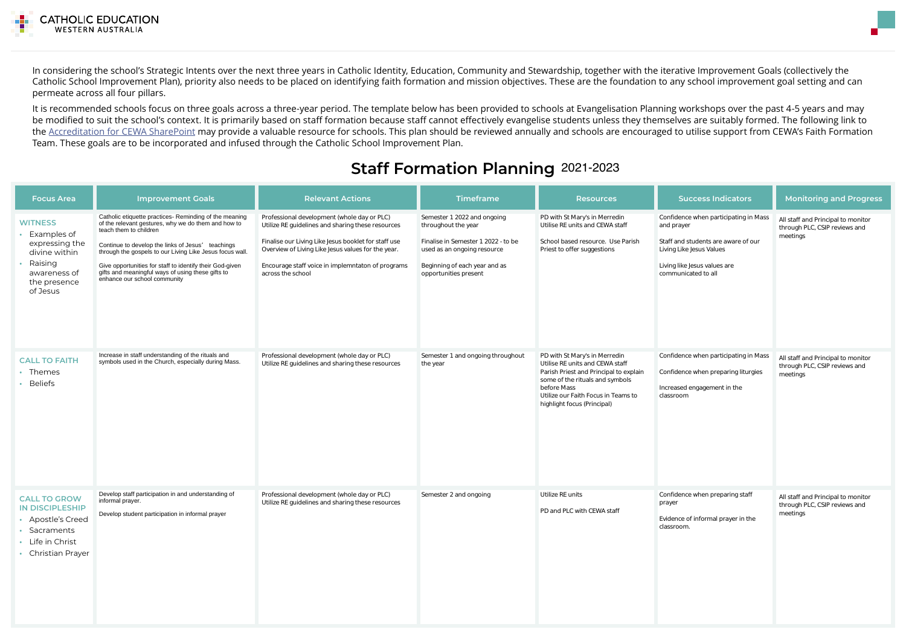

In considering the school's Strategic Intents over the next three years in Catholic Identity, Education, Community and Stewardship, together with the iterative Improvement Goals (collectively the Catholic School Improvement Plan), priority also needs to be placed on identifying faith formation and mission objectives. These are the foundation to any school improvement goal setting and can permeate across all four pillars.

It is recommended schools focus on three goals across a three-year period. The template below has been provided to schools at Evangelisation Planning workshops over the past 4-5 years and may be modified to suit the school's context. It is primarily based on staff formation because staff cannot effectively evangelise students unless they themselves are suitably formed. The following link to the [Accreditation for CEWA SharePoint](https://cewaedu.sharepoint.com/sites/8445AccreditationforCEWA) may provide a valuable resource for schools. This plan should be reviewed annually and schools are encouraged to utilise support from CEWA's Faith Formation Team. These goals are to be incorporated and infused through the Catholic School Improvement Plan.

# **Staff Formation Planning** 2021-2023

| <b>Focus Area</b>                                                                                                          | <b>Improvement Goals</b>                                                                                                                                                                                                                                                                                                                                                                                  | <b>Relevant Actions</b>                                                                                                                                                                                                                                                                  | <b>Timeframe</b>                                                                                                                                                                   | <b>Resources</b>                                                                                                                                                                                                                   | <b>Success Indicators</b>                                                                                                                                                     | <b>Monitoring and Progress</b>                                                  |
|----------------------------------------------------------------------------------------------------------------------------|-----------------------------------------------------------------------------------------------------------------------------------------------------------------------------------------------------------------------------------------------------------------------------------------------------------------------------------------------------------------------------------------------------------|------------------------------------------------------------------------------------------------------------------------------------------------------------------------------------------------------------------------------------------------------------------------------------------|------------------------------------------------------------------------------------------------------------------------------------------------------------------------------------|------------------------------------------------------------------------------------------------------------------------------------------------------------------------------------------------------------------------------------|-------------------------------------------------------------------------------------------------------------------------------------------------------------------------------|---------------------------------------------------------------------------------|
| <b>WITNESS</b><br>Examples of<br>expressing the<br>divine within<br>Raising<br>awareness of<br>the presence<br>of Jesus    | Catholic etiquette practices- Reminding of the meaning<br>of the relevant gestures, why we do them and how to<br>teach them to children<br>Continue to develop the links of Jesus' teachings<br>through the gospels to our Living Like Jesus focus wall.<br>Give opportunities for staff to identify their God-given<br>gifts and meaningful ways of using these gifts to<br>enhance our school community | Professional development (whole day or PLC)<br>Utilize RE guidelines and sharing these resources<br>Finalise our Living Like Jesus booklet for staff use<br>Overview of Living Like Jesus values for the year.<br>Encourage staff voice in implemntaton of programs<br>across the school | Semester 1 2022 and ongoing<br>throughout the year<br>Finalise in Semester 1 2022 - to be<br>used as an ongoing resource<br>Beginning of each year and as<br>opportunities present | PD with St Mary's in Merredin<br>Utilise RE units and CEWA staff<br>School based resource. Use Parish<br>Priest to offer suggestions                                                                                               | Confidence when participating in Mass<br>and prayer<br>Staff and students are aware of our<br>Living Like Jesus Values<br>Living like Jesus values are<br>communicated to all | All staff and Principal to monitor<br>through PLC, CSIP reviews and<br>meetings |
| <b>CALL TO FAITH</b><br>• Themes<br>• Beliefs                                                                              | Increase in staff understanding of the rituals and<br>symbols used in the Church, especially during Mass.                                                                                                                                                                                                                                                                                                 | Professional development (whole day or PLC)<br>Utilize RE guidelines and sharing these resources                                                                                                                                                                                         | Semester 1 and ongoing throughout<br>the year                                                                                                                                      | PD with St Mary's in Merredin<br>Utilise RE units and CEWA staff<br>Parish Priest and Principal to explain<br>some of the rituals and symbols<br>before Mass<br>Utilize our Faith Focus in Teams to<br>highlight focus (Principal) | Confidence when participating in Mass<br>Confidence when preparing liturgies<br>Increased engagement in the<br>classroom                                                      | All staff and Principal to monitor<br>through PLC, CSIP reviews and<br>meetings |
| <b>CALL TO GROW</b><br><b>IN DISCIPLESHIP</b><br>• Apostle's Creed<br>• Sacraments<br>• Life in Christ<br>Christian Prayer | Develop staff participation in and understanding of<br>informal prayer.<br>Develop student participation in informal prayer                                                                                                                                                                                                                                                                               | Professional development (whole day or PLC)<br>Utilize RE guidelines and sharing these resources                                                                                                                                                                                         | Semester 2 and ongoing                                                                                                                                                             | Utilize RE units<br>PD and PLC with CEWA staff                                                                                                                                                                                     | Confidence when preparing staff<br>prayer<br>Evidence of informal prayer in the<br>classroom.                                                                                 | All staff and Principal to monitor<br>through PLC, CSIP reviews and<br>meetings |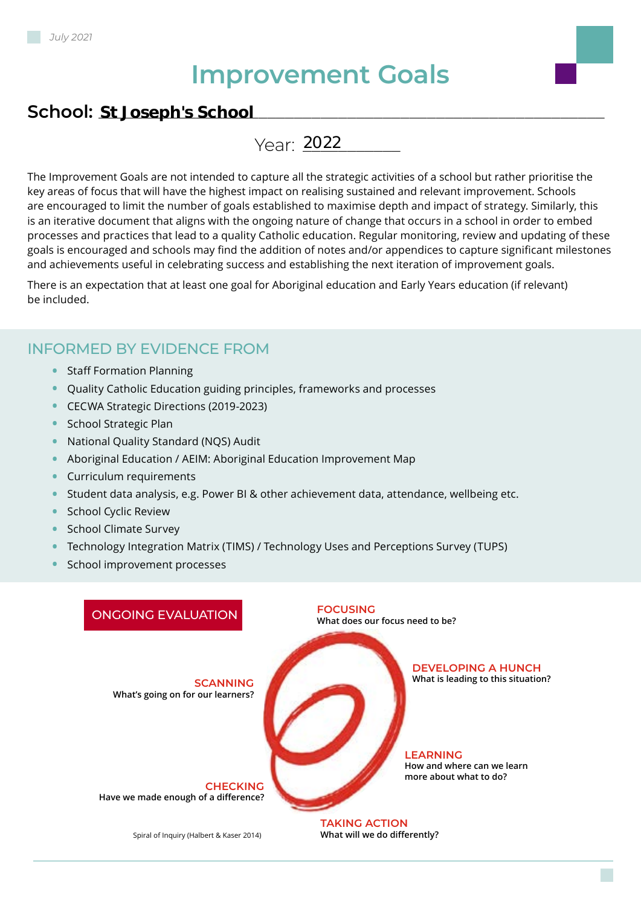# **Improvement Goals**

# **School:** \_\_\_\_\_\_\_\_\_\_\_\_\_\_\_\_\_\_\_\_\_\_\_\_\_\_\_\_\_\_\_\_\_\_\_\_\_\_\_\_\_\_\_\_\_\_\_\_\_\_\_\_\_\_\_\_\_ **St Joseph's School**

Year: 2022

The Improvement Goals are not intended to capture all the strategic activities of a school but rather prioritise the key areas of focus that will have the highest impact on realising sustained and relevant improvement. Schools are encouraged to limit the number of goals established to maximise depth and impact of strategy. Similarly, this is an iterative document that aligns with the ongoing nature of change that occurs in a school in order to embed processes and practices that lead to a quality Catholic education. Regular monitoring, review and updating of these goals is encouraged and schools may find the addition of notes and/or appendices to capture significant milestones and achievements useful in celebrating success and establishing the next iteration of improvement goals.

There is an expectation that at least one goal for Aboriginal education and Early Years education (if relevant) be included.

#### INFORMED BY EVIDENCE FROM

- **•** Staff Formation Planning
- **•** Quality Catholic Education guiding principles, frameworks and processes
- **•** CECWA Strategic Directions (2019-2023)
- **•** School Strategic Plan
- **•** National Quality Standard (NQS) Audit
- **•** Aboriginal Education / AEIM: Aboriginal Education Improvement Map
- **•** Curriculum requirements
- **•** Student data analysis, e.g. Power BI & other achievement data, attendance, wellbeing etc.
- **•** School Cyclic Review
- **•** School Climate Survey
- **•** Technology Integration Matrix (TIMS) / Technology Uses and Perceptions Survey (TUPS)
- **•** School improvement processes

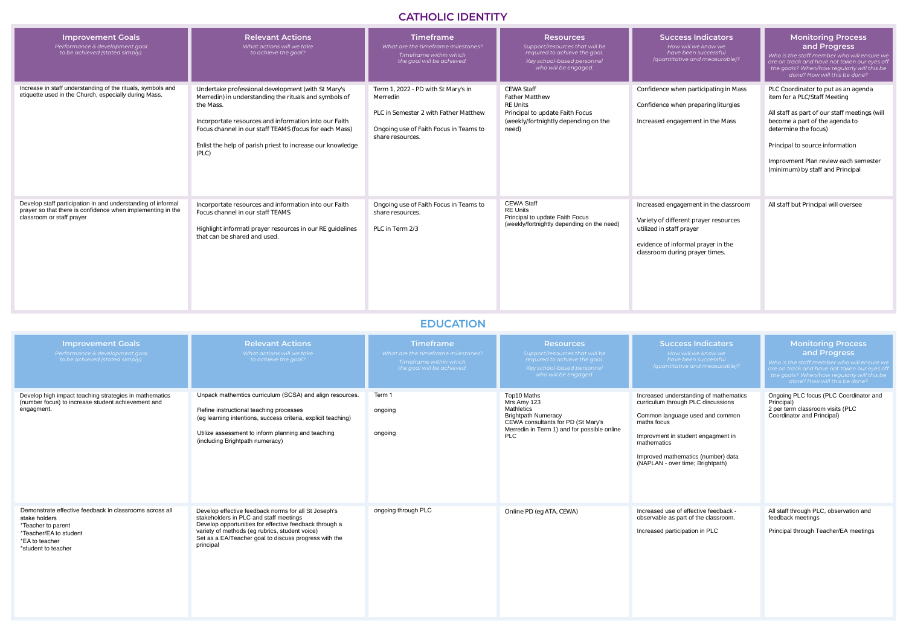# **CATHOLIC IDENTITY**

# **EDUCATION**

| <b>Improvement Goals</b><br>Performance & development goal<br>to be achieved (stated simply).                                                            | <b>Relevant Actions</b><br>What actions will we take<br>to achieve the goal?                                                                                                                                                                                                                                       | <b>Timeframe</b><br>What are the timeframe milestones?<br>Timeframe within which<br>the goal will be achieved.                                         | <b>Resources</b><br>Support/resources that will be<br>required to achieve the goal.<br>Key school-based personnel<br>who will be engaged.         | <b>Success Indicators</b><br>How will we know we<br>have been successful<br>(quantitative and measurable)?                                                                         | <b>Monitoring Process</b><br>and Progress<br>Who is the staff member who will ensure we<br>are on track and have not taken our eyes off<br>the goals? When/how regularly will this be<br>done? How will this be done?                                                                         |
|----------------------------------------------------------------------------------------------------------------------------------------------------------|--------------------------------------------------------------------------------------------------------------------------------------------------------------------------------------------------------------------------------------------------------------------------------------------------------------------|--------------------------------------------------------------------------------------------------------------------------------------------------------|---------------------------------------------------------------------------------------------------------------------------------------------------|------------------------------------------------------------------------------------------------------------------------------------------------------------------------------------|-----------------------------------------------------------------------------------------------------------------------------------------------------------------------------------------------------------------------------------------------------------------------------------------------|
| Increase in staff understanding of the rituals, symbols and<br>etiquette used in the Church, especially during Mass.                                     | Undertake professional development (with St Mary's<br>Merredin) in understanding the rituals and symbols of<br>the Mass.<br>Incorportate resources and information into our Faith<br>Focus channel in our staff TEAMS (focus for each Mass)<br>Enlist the help of parish priest to increase our knowledge<br>(PLC) | Term 1, 2022 - PD with St Mary's in<br>Merredin<br>PLC in Semester 2 with Father Matthew<br>Ongoing use of Faith Focus in Teams to<br>share resources. | <b>CEWA Staff</b><br><b>Father Matthew</b><br><b>RE Units</b><br>Principal to update Faith Focus<br>(weekly/fortnightly depending on the<br>need) | Confidence when participating in Mass<br>Confidence when preparing liturgies<br>Increased engagement in the Mass                                                                   | PLC Coordinator to put as an agenda<br>item for a PLC/Staff Meeting<br>All staff as part of our staff meetings (will<br>become a part of the agenda to<br>determine the focus)<br>Principal to source information<br>Improvment Plan review each semester<br>(minimum) by staff and Principal |
| Develop staff participation in and understanding of informal<br>prayer so that there is confidence when implementing in the<br>classroom or staff prayer | Incorportate resources and information into our Faith<br>Focus channel in our staff TEAMS<br>Highlight informatl prayer resources in our RE quidelines<br>that can be shared and used.                                                                                                                             | Ongoing use of Faith Focus in Teams to<br>share resources.<br>PLC in Term 2/3                                                                          | <b>CEWA Staff</b><br><b>RE Units</b><br>Principal to update Faith Focus<br>(weekly/fortnightly depending on the need)                             | Increased engagement in the classroom<br>Variety of different prayer resources<br>utilized in staff prayer<br>evidence of informal prayer in the<br>classroom during prayer times. | All staff but Principal will oversee                                                                                                                                                                                                                                                          |

| <b>Improvement Goals</b><br>Performance & development goal<br>to be achieved (stated simply).                                                                     | <b>Relevant Actions</b><br>What actions will we take<br>to achieve the goal?                                                                                                                                                                                                     | <b>Timeframe</b><br>What are the timeframe milestones?<br>Timeframe within which<br>the goal will be achieved. | <b>Resources</b><br>Support/resources that will be<br>required to achieve the goal.<br>Key school-based personnel<br>who will be engaged.                                        | <b>Success Indicators</b><br>How will we know we<br>have been successful<br>(quantitative and measurable)?                                                                                                                                                    | <b>Monitoring Process</b><br>and Progress<br>Who is the staff member who will ensure we<br>are on track and have not taken our eyes off<br>the goals? When/how regularly will this be<br>done? How will this be done? |
|-------------------------------------------------------------------------------------------------------------------------------------------------------------------|----------------------------------------------------------------------------------------------------------------------------------------------------------------------------------------------------------------------------------------------------------------------------------|----------------------------------------------------------------------------------------------------------------|----------------------------------------------------------------------------------------------------------------------------------------------------------------------------------|---------------------------------------------------------------------------------------------------------------------------------------------------------------------------------------------------------------------------------------------------------------|-----------------------------------------------------------------------------------------------------------------------------------------------------------------------------------------------------------------------|
| Develop high impact teaching strategies in mathematics<br>(number focus) to increase student achievement and<br>engagment.                                        | Unpack mathemtics curriculum (SCSA) and align resources.<br>Refine instructional teaching processes<br>(eg learning intentions, success criteria, explicit teaching)<br>Utilize assessment to inform planning and teaching<br>(including Brightpath numeracy)                    | Term 1<br>ongoing<br>ongoing                                                                                   | Top10 Maths<br>Mrs Amy 123<br><b>Mathletics</b><br><b>Brightpath Numeracy</b><br>CEWA consultants for PD (St Mary's<br>Merredin in Term 1) and for possible online<br><b>PLC</b> | Increased understanding of mathematics<br>curriculum through PLC discussions<br>Common language used and common<br>maths focus<br>Improvment in student engagment in<br>mathematics<br>Improved mathematics (number) data<br>(NAPLAN - over time; Brightpath) | Ongoing PLC focus (PLC Coordinator and<br>Principal)<br>2 per term classroom visits (PLC<br>Coordinator and Principal)                                                                                                |
| Demonstrate effective feedback in classrooms across all<br>stake holders<br>*Teacher to parent<br>*Teacher/EA to student<br>*EA to teacher<br>*student to teacher | Develop effective feedback norms for all St Joseph's<br>stakeholders in PLC and staff meetings<br>Develop opportunities for effective feedback through a<br>variety of methods (eg rubrics, student voice)<br>Set as a EA/Teacher goal to discuss progress with the<br>principal | ongoing through PLC                                                                                            | Online PD (eg ATA, CEWA)                                                                                                                                                         | Increased use of effective feedback -<br>observable as part of the classroom.<br>Increased participation in PLC                                                                                                                                               | All staff through PLC, observation and<br>feedback meetings<br>Principal through Teacher/EA meetings                                                                                                                  |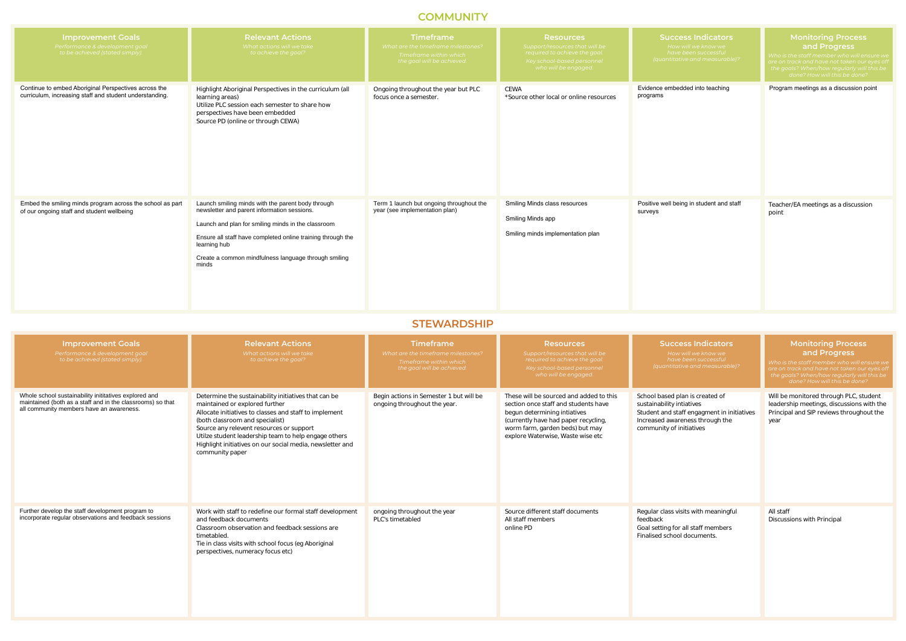# **COMMUNITY**

# **STEWARDSHIP**

| <b>Improvement Goals</b><br>Performance & development goal<br>to be achieved (stated simply).                   | <b>Relevant Actions</b><br>What actions will we take<br>to achieve the goal?                                                                                                                                                                                                                           | <b>Timeframe</b><br>What are the timeframe milestones?<br>Timeframe within which<br>the goal will be achieved. | <b>Resources</b><br>Support/resources that will be<br>required to achieve the goal.<br>Key school-based personnel<br>who will be engaged. | <b>Succe</b><br>How v<br>have <i>k</i><br><i>(quantitativ</i> |
|-----------------------------------------------------------------------------------------------------------------|--------------------------------------------------------------------------------------------------------------------------------------------------------------------------------------------------------------------------------------------------------------------------------------------------------|----------------------------------------------------------------------------------------------------------------|-------------------------------------------------------------------------------------------------------------------------------------------|---------------------------------------------------------------|
| Continue to embed Aboriginal Perspectives across the<br>curriculum, increasing staff and student understanding. | Highlight Aboriginal Perspectives in the curriculum (all<br>learning areas)<br>Utilize PLC session each semester to share how<br>perspectives have been embedded<br>Source PD (online or through CEWA)                                                                                                 | Ongoing throughout the year but PLC<br>focus once a semester.                                                  | <b>CEWA</b><br>*Source other local or online resources                                                                                    | Evidence embed<br>programs                                    |
| Embed the smiling minds program across the school as part<br>of our ongoing staff and student wellbeing         | Launch smiling minds with the parent body through<br>newsletter and parent information sessions.<br>Launch and plan for smiling minds in the classroom<br>Ensure all staff have completed online training through the<br>learning hub<br>Create a common mindfulness language through smiling<br>minds | Term 1 launch but ongoing throughout the<br>year (see implementation plan)                                     | Smiling Minds class resources<br>Smiling Minds app<br>Smiling minds implementation plan                                                   | Positive well bein<br>surveys                                 |

| <b>Success Indicators</b><br>How will we know we<br>have been successful<br>(quantitative and measurable)? | <b>Monitoring Process</b><br>and Progress<br>Who is the staff member who will ensure we<br>are on track and have not taken our eyes off<br>the goals? When/how regularly will this be<br>done? How will this be done? |
|------------------------------------------------------------------------------------------------------------|-----------------------------------------------------------------------------------------------------------------------------------------------------------------------------------------------------------------------|
| Evidence embedded into teaching<br>programs                                                                | Program meetings as a discussion point                                                                                                                                                                                |
| Positive well being in student and staff<br>surveys                                                        | Teacher/EA meetings as a discussion<br>point                                                                                                                                                                          |

| <b>Improvement Goals</b><br>Performance & development goal<br>to be achieved (stated simply).                                                                   | <b>Relevant Actions</b><br>What actions will we take<br>to achieve the goal?                                                                                                                                                                                                                                                                                            | <b>Timeframe</b><br>What are the timeframe milestones?<br>Timeframe within which<br>the goal will be achieved. | <b>Resources</b><br>Support/resources that will be<br>required to achieve the goal.<br>Key school-based personnel<br>who will be engaged.                                                                                       | <b>Success Indicators</b><br>How will we know we<br>have been successful<br>(quantitative and measurable)?                                                                | <b>Monitoring Process</b><br>and Progress<br>Who is the staff member who will ensure we<br>are on track and have not taken our eyes off<br>the goals? When/how regularly will this be<br>done? How will this be done? |
|-----------------------------------------------------------------------------------------------------------------------------------------------------------------|-------------------------------------------------------------------------------------------------------------------------------------------------------------------------------------------------------------------------------------------------------------------------------------------------------------------------------------------------------------------------|----------------------------------------------------------------------------------------------------------------|---------------------------------------------------------------------------------------------------------------------------------------------------------------------------------------------------------------------------------|---------------------------------------------------------------------------------------------------------------------------------------------------------------------------|-----------------------------------------------------------------------------------------------------------------------------------------------------------------------------------------------------------------------|
| Whole school sustainability inititatives explored and<br>maintained (both as a staff and in the classrooms) so that<br>all community members have an awareness. | Determine the sustainability initiatives that can be<br>maintained or explored further<br>Allocate initiatives to classes and staff to implement<br>(both classroom and specialist)<br>Source any relevent resources or support<br>Utilze student leadership team to help engage others<br>Highlight initiatives on our social media, newsletter and<br>community paper | Begin actions in Semester 1 but will be<br>ongoing throughout the year.                                        | These will be sourced and added to this<br>section once staff and students have<br>begun determining intiatives<br>(currently have had paper recycling,<br>worm farm, garden beds) but may<br>explore Waterwise, Waste wise etc | School based plan is created of<br>sustainability intiatives<br>Student and staff engagment in initiatives<br>Increased awareness through the<br>community of initiatives | Will be monitored through PLC, student<br>leadership meetings, discussions with the<br>Principal and SIP reviews throughout the<br>year                                                                               |
| Further develop the staff development program to<br>incorporate regular observations and feedback sessions                                                      | Work with staff to redefine our formal staff development<br>and feedback documents<br>Classroom observation and feedback sessions are<br>timetabled.<br>Tie in class visits with school focus (eg Aboriginal<br>perspectives, numeracy focus etc)                                                                                                                       | ongoing throughout the year<br>PLC's timetabled                                                                | Source different staff documents<br>All staff members<br>online PD                                                                                                                                                              | Regular class visits with meaningful<br>feedback<br>Goal setting for all staff members<br>Finalised school documents.                                                     | All staff<br>Discussions with Principal                                                                                                                                                                               |